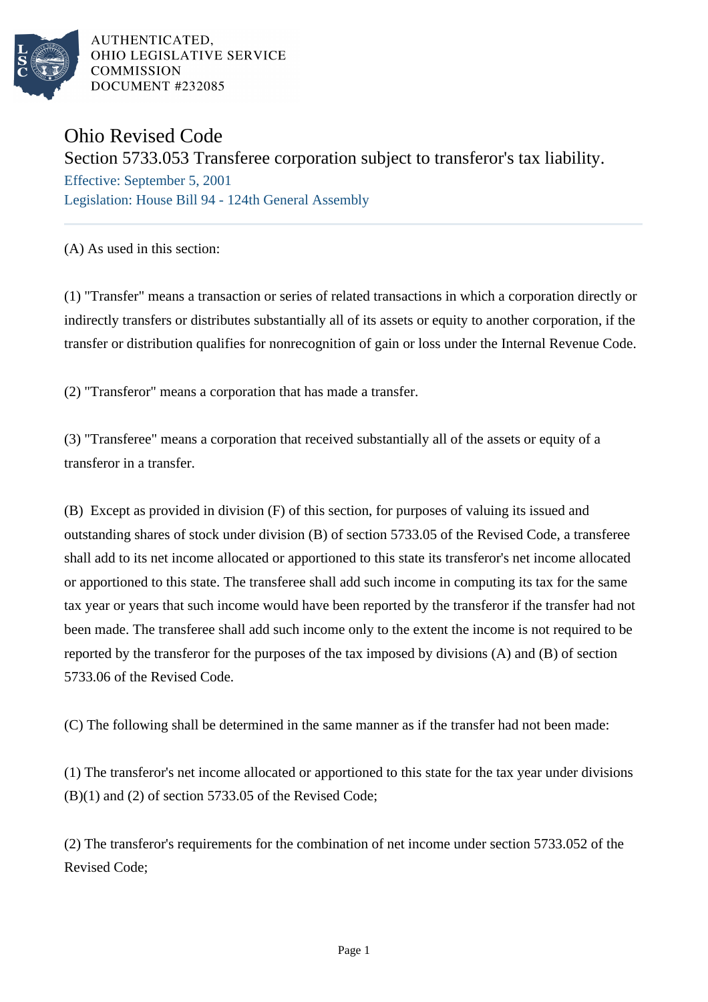

AUTHENTICATED. OHIO LEGISLATIVE SERVICE **COMMISSION** DOCUMENT #232085

## Ohio Revised Code

Section 5733.053 Transferee corporation subject to transferor's tax liability.

Effective: September 5, 2001 Legislation: House Bill 94 - 124th General Assembly

(A) As used in this section:

(1) "Transfer" means a transaction or series of related transactions in which a corporation directly or indirectly transfers or distributes substantially all of its assets or equity to another corporation, if the transfer or distribution qualifies for nonrecognition of gain or loss under the Internal Revenue Code.

(2) "Transferor" means a corporation that has made a transfer.

(3) "Transferee" means a corporation that received substantially all of the assets or equity of a transferor in a transfer.

(B) Except as provided in division (F) of this section, for purposes of valuing its issued and outstanding shares of stock under division (B) of section 5733.05 of the Revised Code, a transferee shall add to its net income allocated or apportioned to this state its transferor's net income allocated or apportioned to this state. The transferee shall add such income in computing its tax for the same tax year or years that such income would have been reported by the transferor if the transfer had not been made. The transferee shall add such income only to the extent the income is not required to be reported by the transferor for the purposes of the tax imposed by divisions (A) and (B) of section 5733.06 of the Revised Code.

(C) The following shall be determined in the same manner as if the transfer had not been made:

(1) The transferor's net income allocated or apportioned to this state for the tax year under divisions (B)(1) and (2) of section 5733.05 of the Revised Code;

(2) The transferor's requirements for the combination of net income under section 5733.052 of the Revised Code;